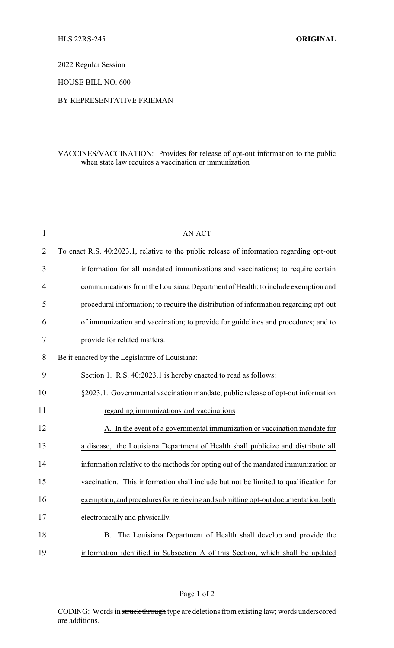2022 Regular Session

HOUSE BILL NO. 600

## BY REPRESENTATIVE FRIEMAN

## VACCINES/VACCINATION: Provides for release of opt-out information to the public when state law requires a vaccination or immunization

| $\mathbf{1}$   | <b>AN ACT</b>                                                                            |
|----------------|------------------------------------------------------------------------------------------|
| $\overline{2}$ | To enact R.S. 40:2023.1, relative to the public release of information regarding opt-out |
| 3              | information for all mandated immunizations and vaccinations; to require certain          |
| $\overline{4}$ | communications from the Louisiana Department of Health; to include exemption and         |
| 5              | procedural information; to require the distribution of information regarding opt-out     |
| 6              | of immunization and vaccination; to provide for guidelines and procedures; and to        |
| 7              | provide for related matters.                                                             |
| 8              | Be it enacted by the Legislature of Louisiana:                                           |
| 9              | Section 1. R.S. 40:2023.1 is hereby enacted to read as follows:                          |
| 10             | §2023.1. Governmental vaccination mandate; public release of opt-out information         |
| 11             | regarding immunizations and vaccinations                                                 |
| 12             | A. In the event of a governmental immunization or vaccination mandate for                |
| 13             | a disease, the Louisiana Department of Health shall publicize and distribute all         |
| 14             | information relative to the methods for opting out of the mandated immunization or       |
| 15             | vaccination. This information shall include but not be limited to qualification for      |
| 16             | exemption, and procedures for retrieving and submitting opt-out documentation, both      |
| 17             | electronically and physically.                                                           |
| 18             | B. The Louisiana Department of Health shall develop and provide the                      |
| 19             | information identified in Subsection A of this Section, which shall be updated           |